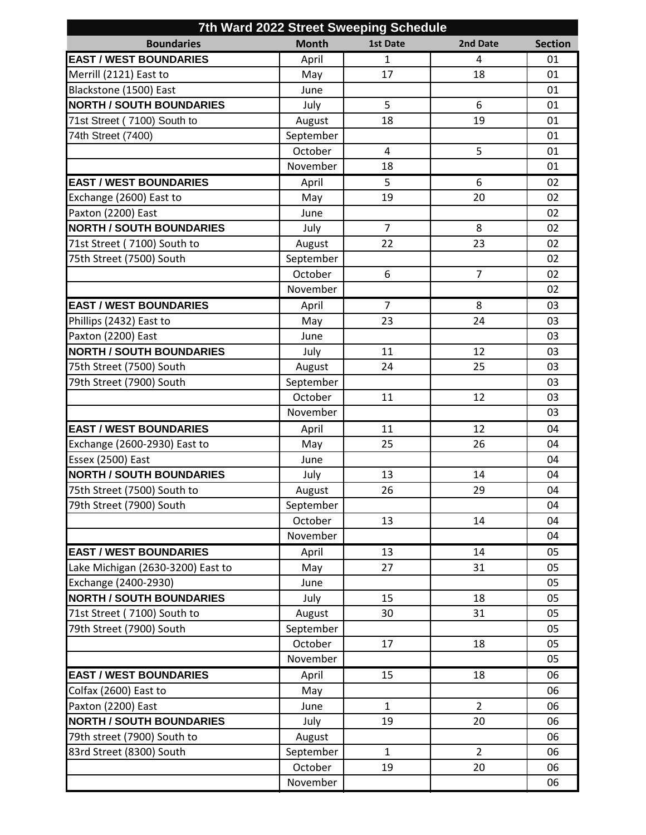| 7th Ward 2022 Street Sweeping Schedule |              |                 |                |                |  |  |  |  |
|----------------------------------------|--------------|-----------------|----------------|----------------|--|--|--|--|
| <b>Boundaries</b>                      | <b>Month</b> | <b>1st Date</b> | 2nd Date       | <b>Section</b> |  |  |  |  |
| <b>EAST / WEST BOUNDARIES</b>          | April        | $\mathbf{1}$    | 4              | 01             |  |  |  |  |
| Merrill (2121) East to                 | May          | 17              | 18             | 01             |  |  |  |  |
| Blackstone (1500) East                 | June         |                 |                | 01             |  |  |  |  |
| <b>NORTH / SOUTH BOUNDARIES</b>        | July         | 5               | 6              | 01             |  |  |  |  |
| 71st Street (7100) South to            | August       | 18              | 19             | 01             |  |  |  |  |
| 74th Street (7400)                     | September    |                 |                | 01             |  |  |  |  |
|                                        | October      | 4               | 5              | 01             |  |  |  |  |
|                                        | November     | 18              |                | 01             |  |  |  |  |
| <b>EAST / WEST BOUNDARIES</b>          | April        | 5               | 6              | 02             |  |  |  |  |
| Exchange (2600) East to                | May          | 19              | 20             | 02             |  |  |  |  |
| Paxton (2200) East                     | June         |                 |                | 02             |  |  |  |  |
| <b>NORTH / SOUTH BOUNDARIES</b>        | July         | $\overline{7}$  | 8              | 02             |  |  |  |  |
| 71st Street (7100) South to            | August       | 22              | 23             | 02             |  |  |  |  |
| 75th Street (7500) South               | September    |                 |                | 02             |  |  |  |  |
|                                        | October      | 6               | $\overline{7}$ | 02             |  |  |  |  |
|                                        | November     |                 |                | 02             |  |  |  |  |
| <b>EAST / WEST BOUNDARIES</b>          | April        | 7               | 8              | 03             |  |  |  |  |
| Phillips (2432) East to                | May          | 23              | 24             | 03             |  |  |  |  |
| Paxton (2200) East                     | June         |                 |                | 03             |  |  |  |  |
| <b>NORTH / SOUTH BOUNDARIES</b>        | July         | 11              | 12             | 03             |  |  |  |  |
| 75th Street (7500) South               | August       | 24              | 25             | 03             |  |  |  |  |
| 79th Street (7900) South               | September    |                 |                | 03             |  |  |  |  |
|                                        | October      | 11              | 12             | 03             |  |  |  |  |
|                                        | November     |                 |                | 03             |  |  |  |  |
| <b>EAST / WEST BOUNDARIES</b>          | April        | 11              | 12             | 04             |  |  |  |  |
| Exchange (2600-2930) East to           | May          | 25              | 26             | 04             |  |  |  |  |
| Essex (2500) East                      | June         |                 |                | 04             |  |  |  |  |
| <b>NORTH / SOUTH BOUNDARIES</b>        | July         | 13              | 14             | 04             |  |  |  |  |
| 75th Street (7500) South to            | August       | 26              | 29             | 04             |  |  |  |  |
| 79th Street (7900) South               | September    |                 |                | 04             |  |  |  |  |
|                                        | October      | 13              | 14             | 04             |  |  |  |  |
|                                        | November     |                 |                | 04             |  |  |  |  |
| <b>EAST / WEST BOUNDARIES</b>          | April        | 13              | 14             | 05             |  |  |  |  |
| Lake Michigan (2630-3200) East to      | May          | 27              | 31             | 05             |  |  |  |  |
| Exchange (2400-2930)                   | June         |                 |                | 05             |  |  |  |  |
| <b>NORTH / SOUTH BOUNDARIES</b>        | July         | 15              | 18             | 05             |  |  |  |  |
| 71st Street (7100) South to            | August       | 30              | 31             | 05             |  |  |  |  |
| 79th Street (7900) South               | September    |                 |                | 05             |  |  |  |  |
|                                        | October      | 17              | 18             | 05             |  |  |  |  |
|                                        | November     |                 |                | 05             |  |  |  |  |
| <b>EAST / WEST BOUNDARIES</b>          | April        | 15              | 18             | 06             |  |  |  |  |
| Colfax (2600) East to                  | May          |                 |                | 06             |  |  |  |  |
| Paxton (2200) East                     | June         | $\mathbf{1}$    | $\overline{2}$ | 06             |  |  |  |  |
| <b>NORTH / SOUTH BOUNDARIES</b>        | July         | 19              | 20             | 06             |  |  |  |  |
| 79th street (7900) South to            | August       |                 |                | 06             |  |  |  |  |
| 83rd Street (8300) South               | September    | $\mathbf{1}$    | $\overline{2}$ | 06             |  |  |  |  |
|                                        | October      | 19              | 20             | 06             |  |  |  |  |
|                                        | November     |                 |                | 06             |  |  |  |  |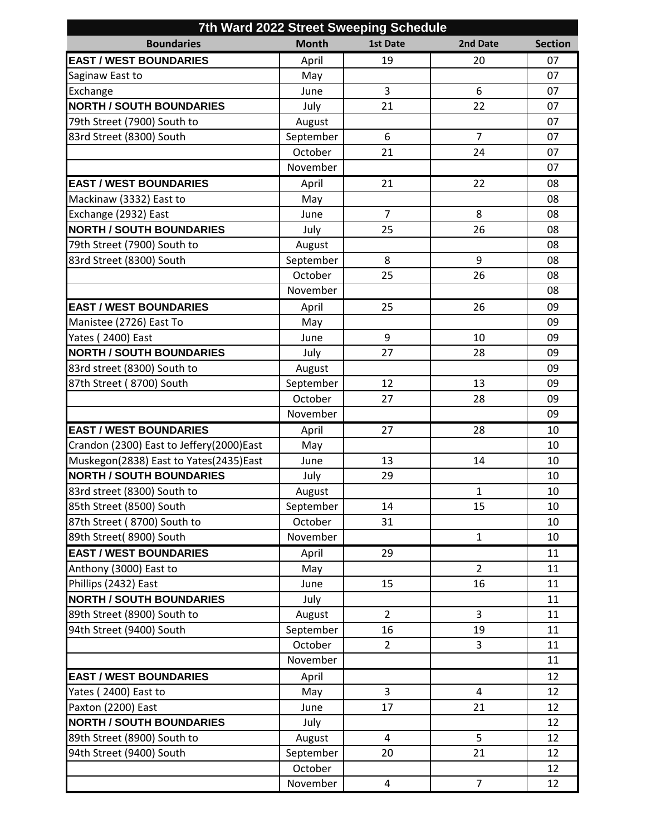| 7th Ward 2022 Street Sweeping Schedule   |              |                 |                |                |  |  |  |  |
|------------------------------------------|--------------|-----------------|----------------|----------------|--|--|--|--|
| <b>Boundaries</b>                        | <b>Month</b> | <b>1st Date</b> | 2nd Date       | <b>Section</b> |  |  |  |  |
| <b>EAST / WEST BOUNDARIES</b>            | April        | 19              | 20             | 07             |  |  |  |  |
| Saginaw East to                          | May          |                 |                | 07             |  |  |  |  |
| Exchange                                 | June         | 3               | 6              | 07             |  |  |  |  |
| <b>NORTH / SOUTH BOUNDARIES</b>          | July         | 21              | 22             | 07             |  |  |  |  |
| 79th Street (7900) South to              | August       |                 |                | 07             |  |  |  |  |
| 83rd Street (8300) South                 | September    | 6               | $\overline{7}$ | 07             |  |  |  |  |
|                                          | October      | 21              | 24             | 07             |  |  |  |  |
|                                          | November     |                 |                | 07             |  |  |  |  |
| <b>EAST / WEST BOUNDARIES</b>            | April        | 21              | 22             | 08             |  |  |  |  |
| Mackinaw (3332) East to                  | May          |                 |                | 08             |  |  |  |  |
| Exchange (2932) East                     | June         | $\overline{7}$  | 8              | 08             |  |  |  |  |
| <b>NORTH / SOUTH BOUNDARIES</b>          | July         | 25              | 26             | 08             |  |  |  |  |
| 79th Street (7900) South to              | August       |                 |                | 08             |  |  |  |  |
| 83rd Street (8300) South                 | September    | 8               | 9              | 08             |  |  |  |  |
|                                          | October      | 25              | 26             | 08             |  |  |  |  |
|                                          | November     |                 |                | 08             |  |  |  |  |
| <b>EAST / WEST BOUNDARIES</b>            | April        | 25              | 26             | 09             |  |  |  |  |
| Manistee (2726) East To                  | May          |                 |                | 09             |  |  |  |  |
| Yates (2400) East                        | June         | 9               | 10             | 09             |  |  |  |  |
| <b>NORTH / SOUTH BOUNDARIES</b>          | July         | 27              | 28             | 09             |  |  |  |  |
| 83rd street (8300) South to              | August       |                 |                | 09             |  |  |  |  |
| 87th Street (8700) South                 | September    | 12              | 13             | 09             |  |  |  |  |
|                                          | October      | 27              | 28             | 09             |  |  |  |  |
|                                          | November     |                 |                | 09             |  |  |  |  |
| <b>EAST / WEST BOUNDARIES</b>            | April        | 27              | 28             | 10             |  |  |  |  |
| Crandon (2300) East to Jeffery(2000)East | May          |                 |                | 10             |  |  |  |  |
| Muskegon(2838) East to Yates(2435)East   | June         | 13              | 14             | 10             |  |  |  |  |
| <b>NORTH / SOUTH BOUNDARIES</b>          | July         | 29              |                | 10             |  |  |  |  |
| 83rd street (8300) South to              | August       |                 | $\mathbf{1}$   | $10\,$         |  |  |  |  |
| 85th Street (8500) South                 | September    | 14              | 15             | 10             |  |  |  |  |
| 87th Street (8700) South to              | October      | 31              |                | 10             |  |  |  |  |
| 89th Street( 8900) South                 | November     |                 | $\mathbf{1}$   | 10             |  |  |  |  |
| <b>EAST / WEST BOUNDARIES</b>            | April        | 29              |                | 11             |  |  |  |  |
| Anthony (3000) East to                   | May          |                 | $\overline{2}$ | 11             |  |  |  |  |
| Phillips (2432) East                     | June         | 15              | 16             | 11             |  |  |  |  |
| <b>NORTH / SOUTH BOUNDARIES</b>          | July         |                 |                | 11             |  |  |  |  |
| 89th Street (8900) South to              | August       | $\overline{2}$  | 3              | 11             |  |  |  |  |
| 94th Street (9400) South                 | September    | 16              | 19             | 11             |  |  |  |  |
|                                          | October      | $\overline{2}$  | 3              | 11             |  |  |  |  |
|                                          | November     |                 |                | 11             |  |  |  |  |
| <b>EAST / WEST BOUNDARIES</b>            | April        |                 |                | 12             |  |  |  |  |
| Yates (2400) East to                     | May          | 3               | 4              | 12             |  |  |  |  |
| Paxton (2200) East                       | June         | 17              | 21             | 12             |  |  |  |  |
| <b>NORTH / SOUTH BOUNDARIES</b>          | July         |                 |                | 12             |  |  |  |  |
| 89th Street (8900) South to              | August       | 4               | 5              | 12             |  |  |  |  |
| 94th Street (9400) South                 | September    | 20              | 21             | 12             |  |  |  |  |
|                                          | October      |                 |                | 12             |  |  |  |  |
|                                          | November     | 4               | $\overline{7}$ | 12             |  |  |  |  |